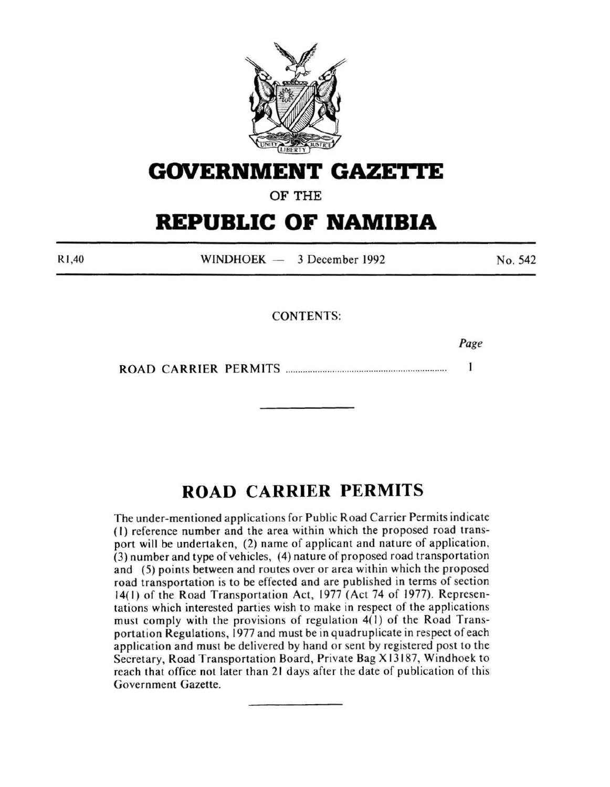

## **GOVERNMENT GAZETTE**

OF THE

# **REPUBLIC OF NAMIBIA**

Rl ,40 WINDHOEK - 3 December 1992 No. 542

CONTENTS:

*Page* 

ROAD CARRIER PERMITS ................................................................. . 1

### **ROAD CARRIER PERMITS**

The under-mentioned applications for Public Road Carrier Permits indicate (I) reference number and the area within which the proposed road transport will be undertaken, (2) name of applicant and nature of application, (3) number and type of vehicles, ( 4) nature of proposed road transportation and (5) points between and routes over or area within which the proposed road transportation is to be effected and are published in terms of section 14( 1) of the Road Transportation Act, 1977 (Act 74 of 1977). Representations which interested parties wish to make in respect of the applications must comply with the provisions of regulation 4(1) of the Road Transportation Regulations, 1977 and must be in quadruplicate in respect of each application and must be delivered by hand or sent by registered post to the Secretary, Road Transportation Board, Private Bag X 13 187, Windhoek to reach that office not later than 21 days after the date of publication of this Government Gazette.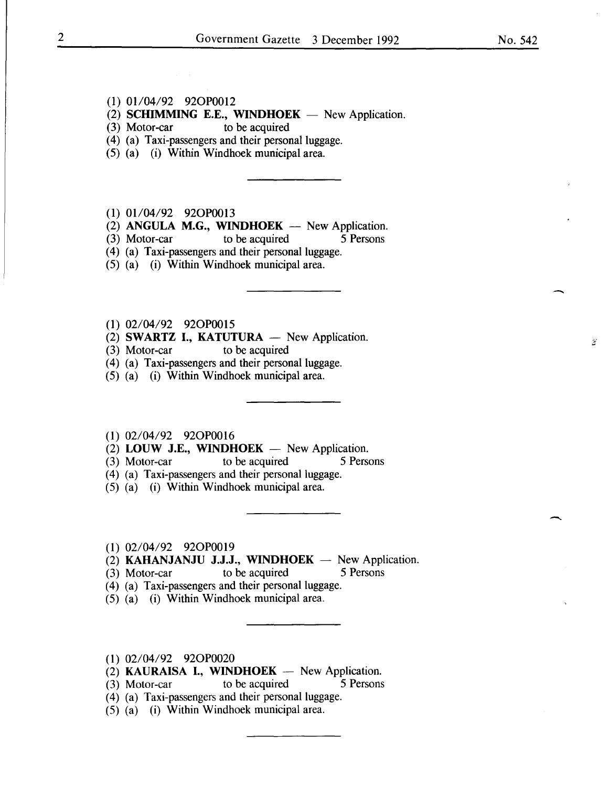-

Ÿ

#### (1) 01/04/92 92OP0012

 $(2)$  SCHIMMING E.E., WINDHOEK - New Application.

- $(3)$  Motor-car to be acquired
- (4) (a) Taxi-passengers and their personal luggage.
- (5) (a) (i) Within Windhoek municipal area.
- $(1)$  01/04/92 92OP0013
- (2) ANGULA M.G., WINDHOEK  $-$  New Application.<br>(3) Motor-car to be acquired 5 Persons
- $(3)$  Motor-car to be acquired
- (4) (a) Taxi-passengers and their personal luggage.
- (5) (a) (i) Within Windhoek municipal area.
- (1) 02/04/92 920P0015
- (2) **SWARTZ I., KATUTURA** New Application.
- (3) Motor-car to be acquired
- (4) (a) Taxi-passengers and their personal luggage.
- (5) (a) (i) Within Windhoek municipal area.
- (1) 02/04/92 920P0016
- (2) LOUW J.E., WINDHOEK  $-$  New Application.
- (3) Motor-car to be acquired 5 Persons
- (4) (a) Taxi-passengers and their personal luggage.
- (5) (a) (i) Within Windhoek municipal area.
- (1) 02/04/92 920P0019
- (2) KAHANJANJU J.J.J., WINDHOEK New Application.
- (3) Motor-car to be acquired 5 Persons
- (4) (a) Taxi-passengers and their personal luggage.
- (5) (a) (i) Within Windhoek municipal area.
- (1) 02/04/92 920P0020
- (2) KAURAISA I., WINDHOEK New Application.
- (3) Motor-car to be acquired 5 Persons
- (4) (a) Taxi-passengers and their personal luggage.
- (5) (a) (i) Within Windhoek municipal area.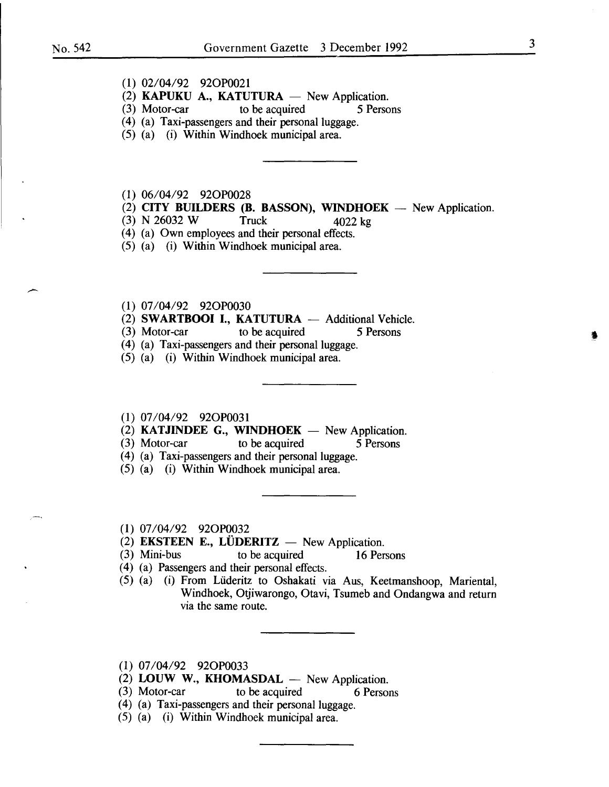- **(1)** 02/04/92 920P0021
- (2) **KAPUKU A., KATUTURA** New Application.<br>(3) Motor-car to be acquired 5 Persons
- to be acquired
- (4) (a) Taxi-passengers and their personal luggage.
- (5) (a) (i) Within Windhoek municipal area.
- (1) 06/04/92 920P0028
- $(2)$  **CITY BUILDERS (B. BASSON), WINDHOEK** New Application.
- (3) N 26032 W Truck 4022 kg

( 4) (a) Own employees and their personal effects.

- (5) (a) (i) Within Windhoek municipal area.
- **(1)** 07/04/92 920P0030
- (2) **SWARTBOOI I., KATUTURA**  $-$  Additional Vehicle.<br>(3) Motor-car to be acquired 5 Persons
- to be acquired 5 Persons
- (4) (a) Taxi-passengers and their personal luggage.
- (5) (a) (i) Within Windhoek municipal area.
- (1) 07/04/92 920P0031
- $(2)$  **KATJINDEE G., WINDHOEK** New Application.
- (3) Motor-car to be acquired 5 Persons
- (4) (a) Taxi-passengers and their personal luggage.
- (5) (a) (i) Within Windhoek municipal area.
- (1) 07/04/92 920P0032
- (2) **EKSTEEN E., LÜDERITZ**  $-$  New Application.<br>(3) Mini-bus to be acquired 16 Per
- to be acquired 16 Persons
- ( 4) (a) Passengers and their personal effects.
- (5) (a) (i) From Liideritz to Oshakati via Aus, Keetmanshoop, Mariental, Windhoek, Otjiwarongo, Otavi, Tsumeb and Ondangwa and return via the same route.
- (1) 07/04/92 920P0033
- (2) LOUW W., KHOMASDAL New Application.
- (3) Motor-car to be acquired 6 Persons
- (4) (a) Taxi-passengers and their personal luggage.
- (5) (a) (i) Within Windhoek municipal area.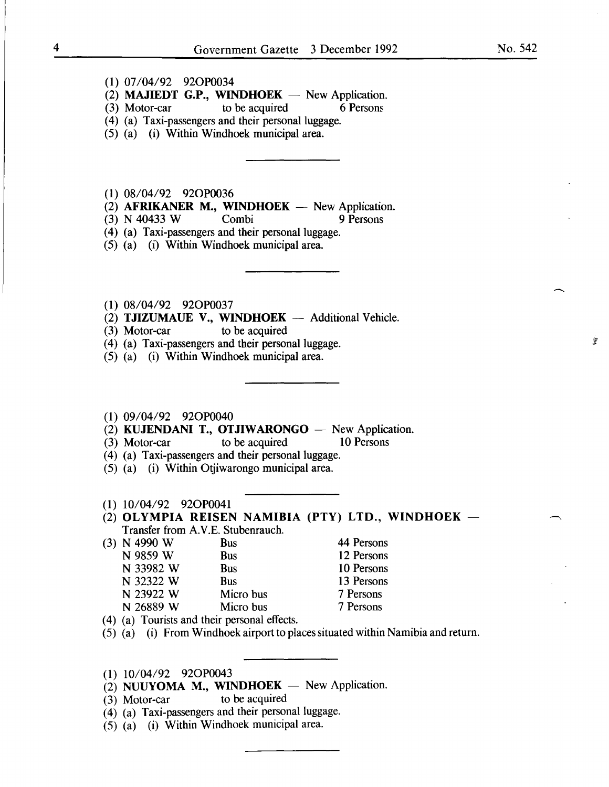$\hat{\mathcal{D}}$ 

- (1) 07/04/92 920P0034
- (2) **MAJIEDT G.P., WINDHOEK** New Application.<br>(3) Motor-car to be acquired 6 Persons
- $(3)$  Motor-car to be acquired
- (4) (a) Taxi-passengers and their personal luggage.
- (5) (a) (i) Within Windhoek municipal area.

(1) 08/04/92 920P0036

- (2) AFRIKANER M., WINDHOEK  $-$  New Application.
- (3) N 40433 W Combi 9 Persons
- (4) (a) Taxi-passengers and their personal luggage.
- (5) (a) (i) Within Windhoek municipal area.
- (1) 08/04/92 920P0037
- (2) **TJIZUMAUE V., WINDHOEK**  $-$  Additional Vehicle.<br>(3) Motor-car to be acquired
- $(3)$  Motor-car
- (4) (a) Taxi-passengers and their personal luggage.
- (5) (a) (i) Within Windhoek municipal area.

#### (1) 09/04/92 920P0040

- (2) KUJENDANI T., OTJIWARONGO  $-$  New Application.<br>
(3) Motor-car to be acquired 10 Persons
- $(3)$  Motor-car to be acquired
- (4) (a) Taxi-passengers and their personal luggage.
- (5) (a) (i) Within Otjiwarongo municipal area.

#### (1) 10/04/92 920P0041

- (2) OLYMPIA REISEN NAMIBIA (PTY) LTD., WINDHOEK  $-$ Transfer from A.V.E. Stubenrauch.
- (3) N 4990 W Bus N 9859 W Bus N 33982 W Bus N 32322 W Bus 44 Persons 12 Persons 10 Persons 13 Persons
	- N 23922 W Micro bus 7 Persons
	- N 26889 W Micro bus
- ( 4) (a) Tourists and their personal effects.
- (5) (a) (i) From Windhoek airport to places situated within Namibia and return.

7 Persons

- (1) 10/04/92 920P0043
- (2) NUUYOMA M., WINDHOEK  $-$  New Application.
- (3) Motor-car to be acquired
- ( 4) (a) Taxi-passengers and their personal luggage.
- (5) (a) (i) Within Windhoek municipal area.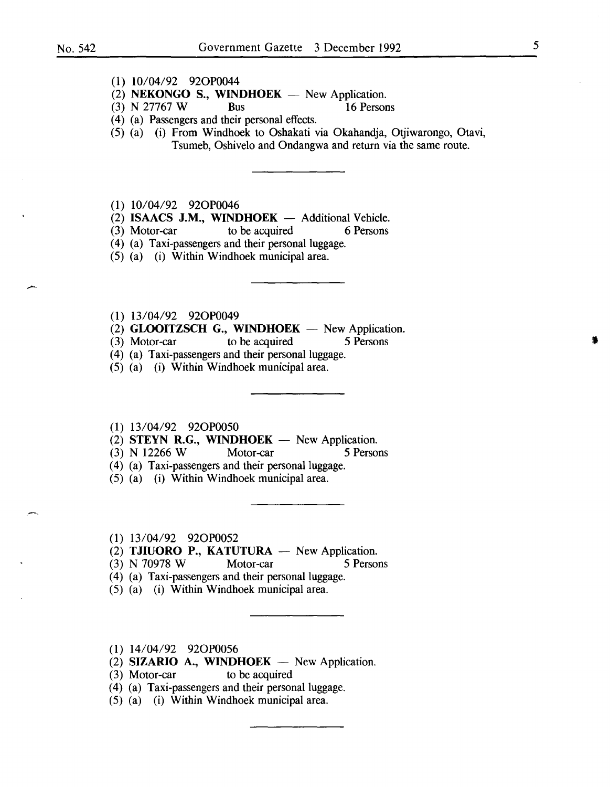#### (1) 10/04/92 920P0044

- (2) NEKONGO S., WINDHOEK  $-$  New Application.
- (3) N 27767 W Bus 16 Persons
- ( 4) (a) Passengers and their personal effects.
- (5) (a) (i) From Windhoek to Oshakati via Okahandja, Otjiwarongo, Otavi, Tsumeb, Oshivelo and Ondangwa and return via the same route.

(1) 10/04/92 920P0046

- $(2)$  **ISAACS J.M., WINDHOEK** Additional Vehicle.
- (3) Motor-car to be acquired 6 Persons
- (4) (a) Taxi-passengers and their personal luggage.
- (5) (a) (i) Within Windhoek municipal area.
- (1) 13/04/92 920P0049
- (2) **GLOOITZSCH G., WINDHOEK** New Application.<br>(3) Motor-car to be acquired 5 Persons
- (3) Motor-car to be acquired 5 Persons
- (4) (a) Taxi-passengers and their personal luggage.
- (5) (a) (i) Within Windhoek municipal area.
- (1) 13/04/92 920P0050
- (2) STEYN R.G., WINDHOEK New Application.<br>
(3) N 12266 W Motor-car 5 Perso
- (3) N 12266 W Motor-car 5 Persons
- ( 4) (a) Taxi-passengers and their personal luggage.
- (5) (a) (i) Within Windhoek municipal area.
- (1) 13/04/92 920P0052
- (2) TJIUORO P., KATUTURA  $-$  New Application.
- (3) N 70978 W Motor-car 5 Persons
- (4) (a) Taxi-passengers and their personal luggage.
- (5) (a) (i) Within Windhoek municipal area.
- (1) 14/04/92 920P0056
- (2) SIZARIO A., WINDHOEK  $-$  New Application.
- (3) Motor-car to be acquired
- (4) (a) Taxi-passengers and their personal luggage.
- (5) (a) (i) Within Windhoek municipal area.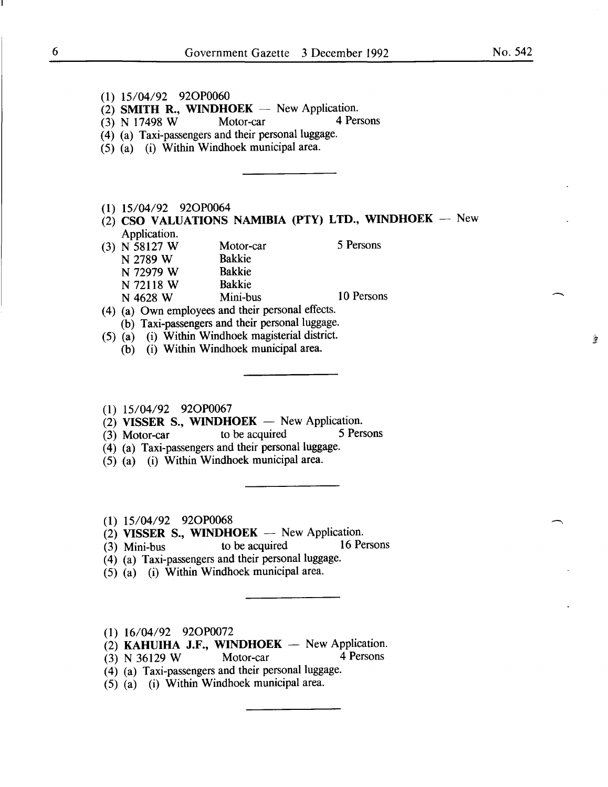| $(1)$ 15/04/92 92OP0060                                 |            |
|---------------------------------------------------------|------------|
| (2) SMITH R., WINDHOEK $-$ New Application.             |            |
| Motor-car<br>$(3)$ N 17498 W                            | 4 Persons  |
| (4) (a) Taxi-passengers and their personal luggage.     |            |
| (5) (a) (i) Within Windhoek municipal area.             |            |
|                                                         |            |
|                                                         |            |
|                                                         |            |
|                                                         |            |
| $(1)$ 15/04/92 92OP0064                                 |            |
| (2) CSO VALUATIONS NAMIBIA (PTY) LTD., WINDHOEK $-$ New |            |
| Application.                                            |            |
| $(3)$ N 58127 W<br>Motor-car                            | 5 Persons  |
| <b>Bakkie</b><br>N 2789 W                               |            |
| <b>Bakkie</b><br>N 72979 W                              |            |
| <b>Bakkie</b><br>N 72118 W                              |            |
| Mini-bus<br>N 4628 W                                    | 10 Persons |
| (4) (a) Own employees and their personal effects.       |            |
| (b) Taxi-passengers and their personal luggage.         |            |
| (5) (a) (i) Within Windhoek magisterial district.       |            |
| (b) (i) Within Windhoek municipal area.                 |            |
|                                                         |            |
|                                                         |            |
|                                                         |            |
|                                                         |            |

- (1) 15/04/92 920P0067
- (2) VISSER S., WINDHOEK New Application.<br>
(3) Motor-car to be acquired 5 Persons
- $(3)$  Motor-car to be acquired
- (4) (a) Taxi-passengers and their personal luggage.
- $(5)$   $(a)$   $(i)$  Within Windhoek municipal area.
- (1) 15/04/92 920P0068
- (2) VISSER S., WINDHOEK -- New Application.<br>
(3) Mini-bus to be acquired 16 Persons
- (3) Mini-bus to be acquired 16 Persons
- (4) (a) Taxi-passengers and their personal luggage.
- $(5)$   $(a)$  (i) Within Windhoek municipal area.
- (1) 16/04/92 920P0072
- (2) **KAHUIHA J.F., WINDHOEK** New Application.<br>(3) N 36129 W Motor-car 4 Persons
- $(3)$  N 36129 W Motor-car
- $(4)$  (a) Taxi-passengers and their personal luggage.
- $(5)$   $(a)$  (i) Within Windhoek municipal area.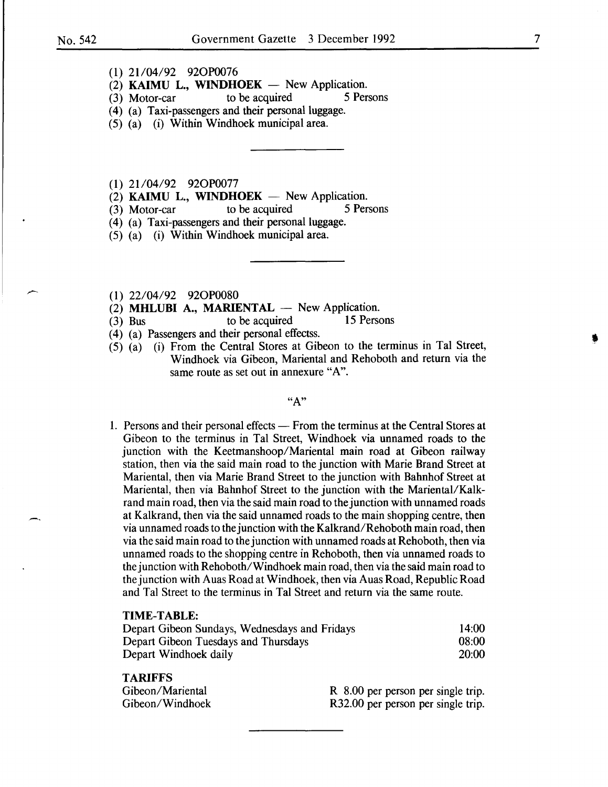- (2) KAIMU L., WINDHOEK  $-$  New Application.<br>
(3) Motor-car to be acquired 5 Persons
- $(3)$  Motor-car to be acquired
- (4) (a) Taxi-passengers and their personal luggage.
- (5) (a) (i) Within Windhoek municipal area.

(1) 21/04/92 92OP0077

- (2) **KAIMU L., WINDHOEK**  $-$  New Application.<br>(3) Motor-car to be acquired 5 Persons
- to be acquired
- (4) (a) Taxi-passengers and their personal luggage.
- (5) (a) (i) Within Windhoek municipal area.
- (1) 22/04/92 920P0080
- (2) **MHLUBI A., MARIENTAL**  $\rightarrow$  New Application.<br>(3) Bus to be acquired 15 Persons
- $(3)$  Bus to be acquired
- ( 4) (a) Passengers and their personal effectss.
- (5) (a) (i) From the Central Stores at Gibeon to the terminus in Tal Street, Windhoek via Gibeon, Mariental and Rehoboth and return via the same route as set out in annexure "A".

#### $``A"$

1. Persons and their personal effects — From the terminus at the Central Stores at Gibeon to the terminus in Tal Street, Windhoek via unnamed roads to the junction with the Keetmanshoop/Mariental main road at Gibeon railway station, then via the said main road to the junction with Marie Brand Street at Mariental, then via Marie Brand Street to the junction with Bahnhof Street at Mariental, then via Bahnhof Street to the junction with the Mariental/Kalkrand main road, then via the said main road to the junction with unnamed roads at Kalkrand, then via the said unnamed roads to the main shopping centre, then via unnamed roads to the junction with the Kalkrand/Rehoboth main road, then via the said main road to the junction with unnamed roads at Rehoboth, then via unnamed roads to the shopping centre in Rehoboth, then via unnamed roads to the junction with Rehoboth/Windhoek main road, then via the said main road to the junction with Auas Road at Windhoek, then via Auas Road, Republic Road and Tal Street to the terminus in Tal Street and return via the same route.

#### TIME-TABLE:

| Depart Gibeon Sundays, Wednesdays and Fridays | 14:00 |
|-----------------------------------------------|-------|
| Depart Gibeon Tuesdays and Thursdays          | 08:00 |
| Depart Windhoek daily                         | 20:00 |

#### TARIFFS

| Gibeon/Mariental | R 8.00 per person per single trip. |
|------------------|------------------------------------|
| Gibeon/Windhoek  | R32.00 per person per single trip. |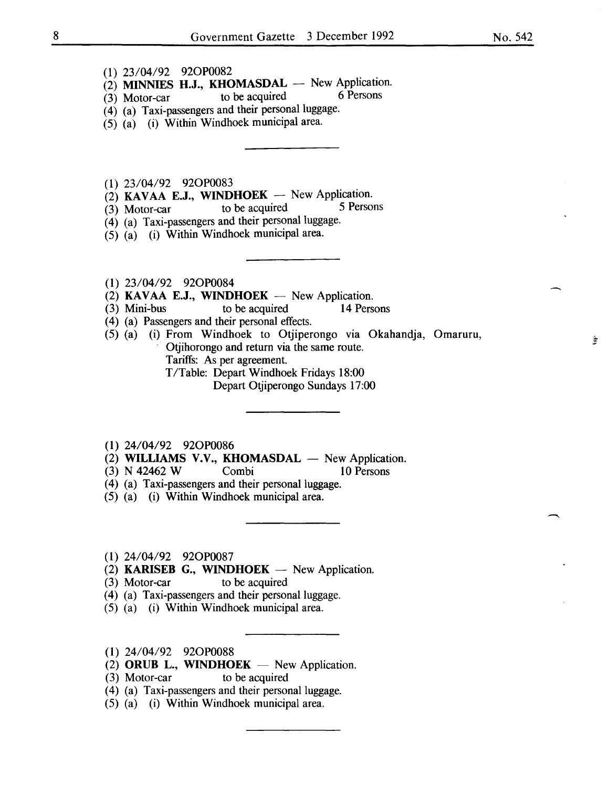- (1) 23/04/92 920P0082
- $\begin{array}{lll} (2) & \textbf{MINNIES} & \textbf{H.J.}, & \textbf{KHOMASDAL} & \textbf{New Application}. \\ (3) & \textbf{Motor car} & \textbf{to be acquired} & 6 \textbf{ Persons} \end{array}$
- $(3)$  Motor-car to be acquired
- $(4)$  (a) Taxi-passengers and their personal luggage.
- (5) (a) (i) Within Windhoek municipal area.
- (1) 23/04/92 920P0083
- (2) KAVAA E.J., WINDHOEK New Application.<br>
(3) Motor-car to be acquired 5 Persons
- $(3)$  Motor-car to be acquired
- (4) (a) Taxi-passengers and their personal luggage.
- $(5)$   $(a)$  (i) Within Windhoek municipal area.
- (1) 23/04/92 920P0084
- (2) KAVAA E.J., WINDHOEK  $-$  New Application.<br>(3) Mini-bus to be acquired 14 Pers
- (3) Mini-bus to be acquired 14 Persons
- ( 4) (a) Passengers and their personal effects.
- (5) (a) (i) From Windhoek to Otjiperongo via Okahandja, Omaruru, Otjihorongo and return via the same route. Tariffs: As per agreement.
	- T/Table: Depart Windhoek Fridays 18:00

Depart Otjiperongo Sundays 17:00

- (1) 24/04/92 920P0086
- $(2)$  WILLIAMS V.V., KHOMASDAL  $-$  New Application.
- (3) N 42462 W Combi 10 Persons
- (4) (a) Taxi-passengers and their personal luggage.
- (5) (a) (i) Within Windhoek municipal area.
- (1) 24/04/92 920P0087
- $(2)$  KARISEB G., WINDHOEK New Application.
- (3) Motor-car to be acquired
- (4) (a) Taxi-passengers and their personal luggage.
- (5) (a) (i) Within Windhoek municipal area.
- (1) 24/04/92 920P0088
- $(2)$  ORUB L., WINDHOEK New Application.
- (3) Motor-car to be acquired
- (4) (a) Taxi-passengers and their personal luggage.
- (5) (a) (i) Within Windhoek municipal area.

-

盞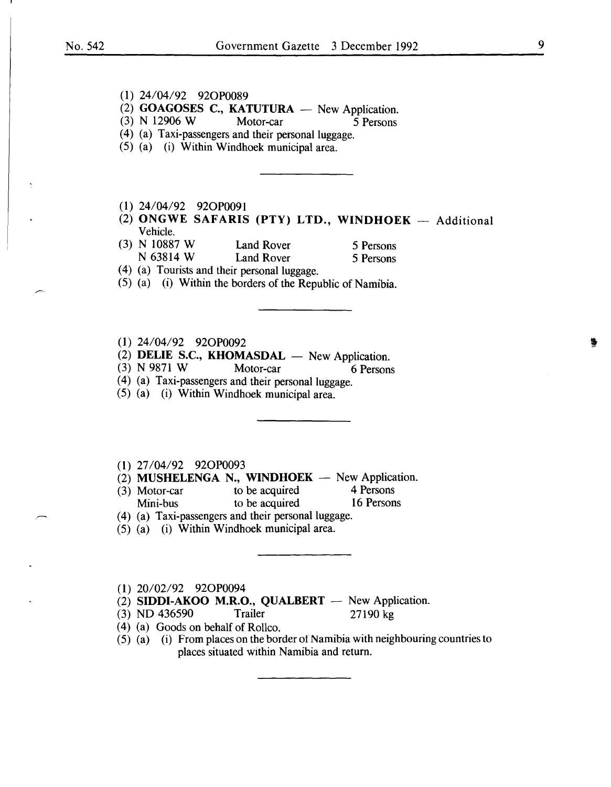### (1) 24/04/92 920P0089 (2) GOAGOSES C., KATUTURA  $-$  New Application.<br>(3) N 12906 W Motor-car 5 Persons (3) N 12906 W Motor-car 5 Persons (4) (a) Taxi-passengers and their personal luggage. (5) (a) (i) Within Windhoek municipal area. (1) 24/04/92 920P0091 (2) ONGWE SAFARIS (PTY) LTD., WINDHOEK  $-$  Additional Vehicle. (3) N 10887 W Land Rover 5 Persons<br>  $N$  63814 W Land Rover 5 Persons Land Rover 5 Persons (4) (a) Tourists and their personal luggage. (5) (a) (i) Within the borders of the Republic of Namibia. (1) 24/04/92 920P0092 (2) DELIE S.C., KHOMASDAL  $-$  New Application. (3) N 9871 W Motor-car  $\overline{6}$  Persons (4) (a) Taxi-passengers and their personal luggage. (5) (a) (i) Within Windhoek municipal area. (1) 27/04/92 920P0093 (2) MUSHELENGA N., WINDHOEK  $-$  New Application.<br>(3) Motor-car to be acquired 4 Persons (3) Motor-car to be acquired 4 Persons<br>
Mini-bus to be acquired 16 Persons Mini-bus to be acquired (4) (a) Taxi-passengers and their personal luggage. (5) (a) (i) Within Windhoek municipal area.

(1) 20/02/92 920P0094

(2) SIDDI-AKOO M.R.O., QUALBERT  $-$  New Application.

(3) NO 436590 Trailer 27190 kg

( 4) (a) Goods on behalf of Rollco.

(5) (a) (i) From places on the border ot Namibia with neighbouring countries to places situated wtthin Namibia and return.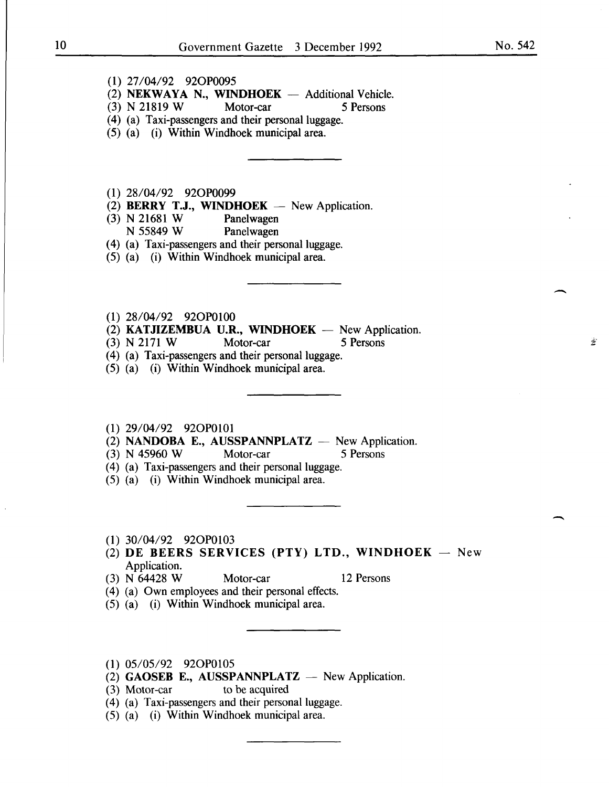$\overline{\phantom{a}}$ 

 $\Delta$ 

-

- (1) 27/04/92 920P0095
- (2) **NEKWAYA N., WINDHOEK**  $-$  Additional Vehicle.<br>
(3) N 21819 W Motor-car 5 Persons
- (3) N 21819 W Motor-car 5 Persons
- (4) (a) Taxi-passengers and their personal luggage.
- (5) (a) (i) Within Windhoek municipal area.
- (1) 28/04/92 920P0099
- (2) **BERRY T.J., WINDHOEK** New Application.<br>(3) N 21681 W Panelwagen
- (3) N 21681 W<br>N 55849 W
	- Panelwagen
- ( 4) (a) Taxi-passengers and their personal luggage.
- (5) (a) (i) Within Windhoek municipal area.
- (1) 28/04/92 920P0100
- (2) **KATJIZEMBUA U.R., WINDHOEK** New Application.<br>(3) N 2171 W Motor-car 5 Persons
- $(3)$  N 2171 W
- (4) (a) Taxi-passengers and their personal luggage.
- (5) (a) (i) Within Windhoek municipal area.
- (1) 29/04/92 920P0101
- (2) NANDOBA E., AUSSPANNPLATZ  $-$  New Application.
- (3) N 45960 W Motor-car 5 Persons
- (4) (a) Taxi-passengers and their personal luggage.
- (5) (a) (i) Within Windhoek municipal area.
- (1) 30/04/92 920P0103
- (2) DE BEERS SERVICES (PTY) LTD., WINDHOEK New Application.
- (3) N 64428 W Motor-car 12 Persons
- (4) (a) Own employees and their personal effects.
- (5) (a) (i) Within Windhoek municipal area.
- (1) 05/05/92 920P0105
- (2) GAOSEB E., AUSSPANNPLATZ  $-$  New Application.
- (3) Motor-car to be acquired
- (4) (a) Taxi-passengers and their personal luggage.
- (5) (a) (i) Within Windhoek municipal area.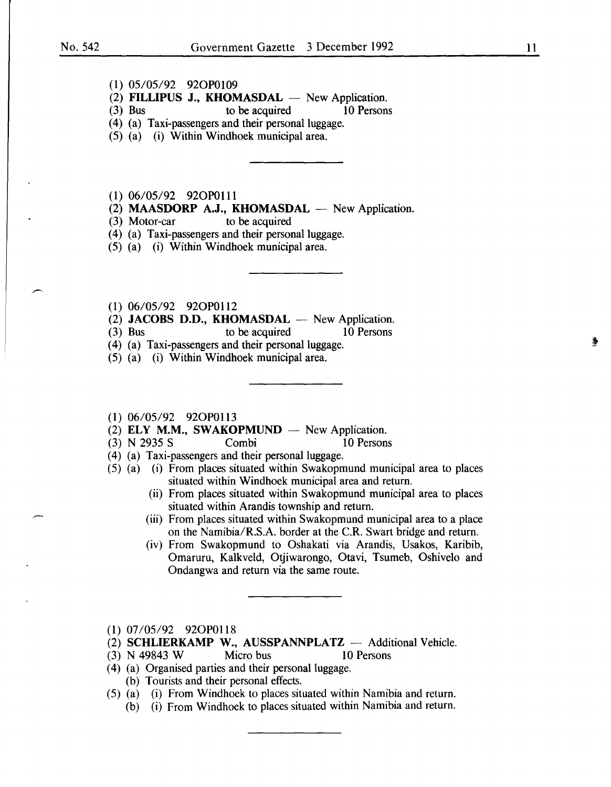#### **(1)** 05/05/92 920P0109

- (2) **FILLIPUS J., KHOMASDAL**  $-$  New Application.<br>(3) Bus to be acquired 10 Persons
	- to be acquired
- (4) (a) Taxi-passengers and their personal luggage.
- (5) (a) (i) Within Windhoek municipal area.
- **(1)** 06/05/92 920P0111
- (2) **MAASDORP A.J., KHOMASDAL** New Application.
- (3) Motor-car to be acquired
- (4) (a) Taxi-passengers and their personal luggage.
- (5) (a) (i) Within Windhoek municipal area.
- (1) 06/05/92 920P0112
- (2) **JACOBS D.D., KHOMASDAL** New Application.
- (3) Bus to be acquired 10 Persons
- ( 4) (a) Taxi-passengers and their personal luggage.
- (5) (a) (i) Within Windhoek municipal area.
- **(1)** 06/05/92 920P0113
- (2) **ELY M.M., SW AKOPMUND**  New Application.
- $(3)$  N 2935 S
- (4) (a) Taxi-passengers and their personal luggage.
- (5) (a) (i) From places situated within Swakopmund municipal area to places situated within Windhoek municipal area and return.
	- (ii) From places situated within Swakopmund municipal area to places situated within Arandis township and return.
	- (iii) From places situated within Swakopmund municipal area to a place on the Namibia/R.S.A. border at the C.R. Swart bridge and return.
	- (iv) From Swakopmund to Oshakati via Arandis, Usakos, Karibib, Omaruru, Kalkveld, Otjiwarongo, Otavi, Tsumeb, Oshivelo and Ondangwa and return via the same route.
- **(1)** 07/05/92 920P0118
- (2) **SCHLIERKAMP W., AUSSPANNPLATZ** Additional Vehicle.
- (3) N 49843 W Micro bus 10 Persons
- ( 4) (a) Organised parties and their personal luggage. (b) Tourists and their personal effects.
- (5) (a) (i) From Windhoek to places situated within Namibia and return.
	- (b) (i) From Windhoek to places situated within Namibia and return.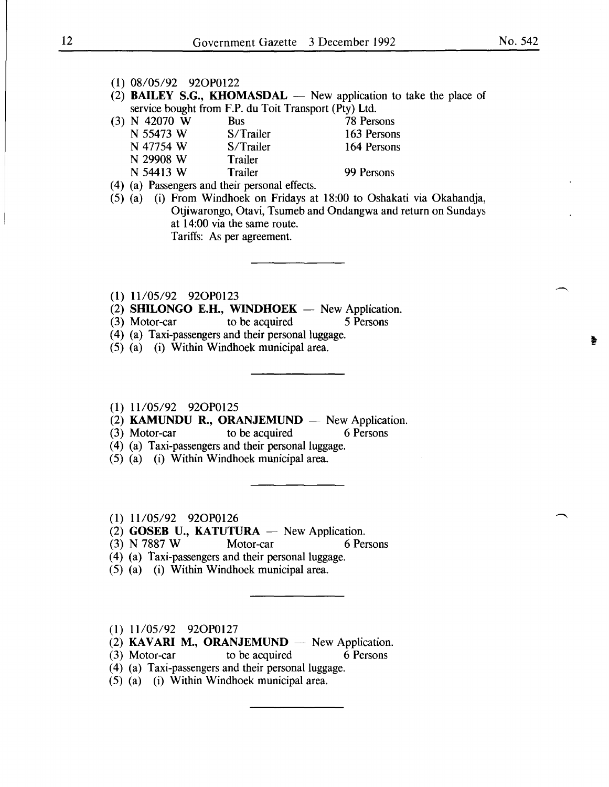#### (1) 08/05/92 920P0122

(2) **BAILEY S.G., KHOMASDAL**  $-$  New application to take the place of service bought from F.P. du Toit Transport (Pty) Ltd.

| $(3)$ N 42070 W                       | Bus       | 78 Persons  |
|---------------------------------------|-----------|-------------|
| N 55473 W                             | S/Trailer | 163 Persons |
| N 47754 W                             | S/Trailer | 164 Persons |
| N 29908 W                             | Trailer   |             |
| N 54413 W                             | Trailer   | 99 Persons  |
| $\lambda$ and $\lambda$ and $\lambda$ |           |             |

( 4) (a) Passengers and their personal effects.

(5) (a) (i) From Windhoek on Fridays at 18:00 to Oshakati via Okahandja, Otjiwarongo, Otavi, Tsumeb and Ondangwa and return on Sundays at 14:00 via the same route. Tariffs: As per agreement.

- (1) 11/05/92 920P0123
- (2) **SHILONGO E.H., WINDHOEK** New Application.<br>(3) Motor-car to be acquired 5 Persons
- $(3)$  Motor-car to be acquired
- ( 4) (a) Taxi-passengers and their personal luggage.
- (5) (a) (i) Within Windhoek municipal area.

#### (1) 11105/92 920P0125

- (2) KAMUNDU R., ORANJEMUND  $-$  New Application.
- (3) Motor-car to be acquired 6 Persons
	-
- (4) (a) Taxi-passengers and their personal luggage.
- (5) (a) (i) Within Windhoek municipal area.
- (1) 11/05/92 92OP0126
- (2) GOSEB U., KATUTURA  $-$  New Application.
- (3) N 7887 W Motor-car 6 Persons
- (4) (a) Taxi-passengers and their personal luggage.
- (5) (a) (i) Within Windhoek municipal area.
- (1) 11105/92 920P0127
- (2) KAVARI M., ORANJEMUND  $-$  New Application.
- (3) Motor-car to be acquired 6 Persons
- ( 4) (a) Taxi-passengers and their personal luggage.
- (5) (a) (i) Within Windhoek municipal area.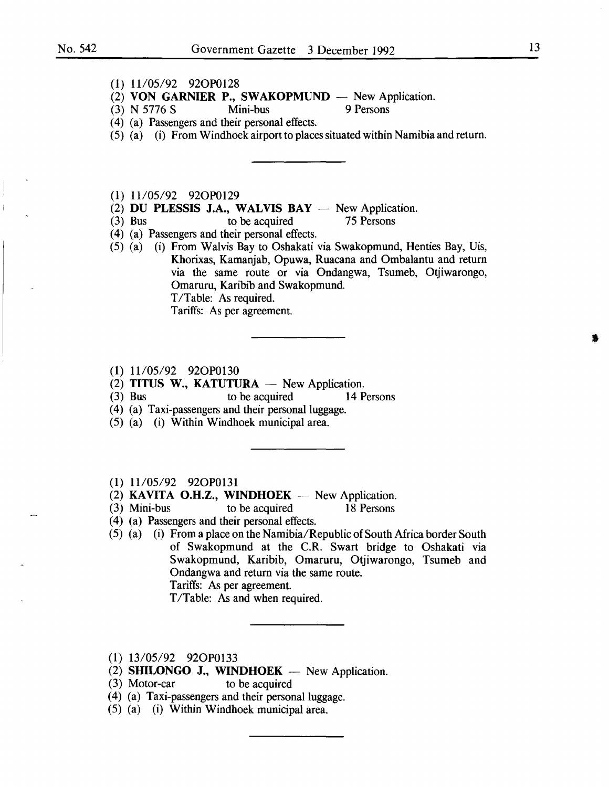#### (1) 11/05/92 920P0128

- (2) VON GARNIER P., SWAKOPMUND New Application.<br>
(3) N 5776 S Mini-bus 9 Persons
- $(3)$  N 5776 S
- ( 4) (a) Passengers and their personal effects.
- (5) (a) (i) From Windhoek airport to places situated within Namibia and return.

(1) 11/05/92 92OP0129

- (2) DU PLESSIS J.A., WALVIS BAY  $-$  New Application.<br>(3) Bus to be acquired 75 Persons
- to be acquired
- ( 4) (a) Passengers and their personal effects.
- (5) (a) (i) From Walvis Bay to Oshakati via Swakopmund, Henties Bay, Uis, Khorixas, Kamanjab, Opuwa, Ruacana and Ombalantu and return via the same route or via Ondangwa, Tsumeb, Otjiwarongo, Omaruru, Karibib and Swakopmund. T/Table: As required. Tariffs: As per agreement.
- (1) 11105/92 920P0130
- (2) TITUS W., KATUTURA  $-$  New Application.
- (3) Bus to be acquired 14 Persons
- (4) (a) Taxi-passengers and their personal luggage.
- (5) (a) (i) Within Windhoek municipal area.
- (1) 11/05/92 920P0131
- (2) KAVITA O.H.Z., WINDHOEK  $-$  New Application.
- (3) Mini-bus to be acquired 18 Persons
- ( 4) (a) Passengers and their personal effects.
- (5) (a) (i) From a place on the Namibia/Republic of South Africa border South of Swakopmund at the C.R. Swart bridge to Oshakati via Swakopmund, Karibib, Omaruru, Otjiwarongo, Tsumeb and Ondangwa and return via the same route. Tariffs: As per agreement.

T/Table: As and when required.

- (1) 13/05/92 920P0133
- (2) SHILONGO J., WINDHOEK  $-$  New Application.
- (3) Motor-car to be acquired
- (4) (a) Taxi-passengers and their personal luggage.
- (5) (a) (i) Within Windhoek municipal area.

I